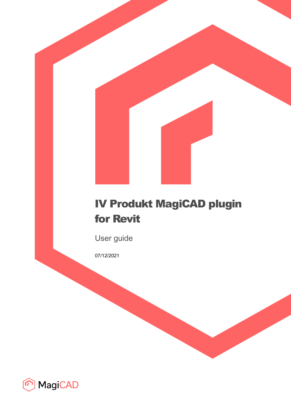# IV Produkt MagiCAD plugin for Revit

User guide

07/12/2021

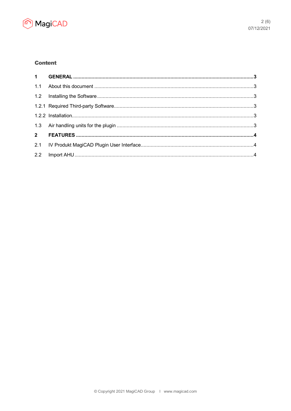

## **Content**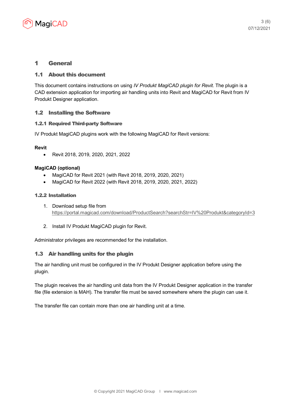

## 1 General

#### 1.1 About this document

This document contains instructions on using *IV Produkt MagiCAD plugin for Revit*. The plugin is a CAD extension application for importing air handling units into Revit and MagiCAD for Revit from IV Produkt Designer application.

## 1.2 Installing the Software

#### 1.2.1 Required Third-party Software

IV Produkt MagiCAD plugins work with the following MagiCAD for Revit versions:

#### **Revit**

Revit 2018, 2019, 2020, 2021, 2022

#### **MagiCAD (optional)**

- MagiCAD for Revit 2021 (with Revit 2018, 2019, 2020, 2021)
- MagiCAD for Revit 2022 (with Revit 2018, 2019, 2020, 2021, 2022)

#### 1.2.2 Installation

- 1. Download setup file from https://portal.magicad.com/download/ProductSearch?searchStr=IV%20Produkt&categoryId=3
- 2. Install IV Produkt MagiCAD plugin for Revit.

Administrator privileges are recommended for the installation.

## 1.3 Air handling units for the plugin

The air handling unit must be configured in the IV Produkt Designer application before using the plugin.

The plugin receives the air handling unit data from the IV Produkt Designer application in the transfer file (file extension is MAH). The transfer file must be saved somewhere where the plugin can use it.

The transfer file can contain more than one air handling unit at a time.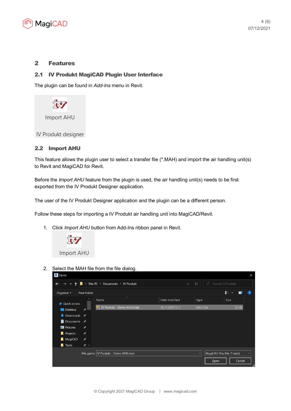

## 2 Features

## 2.1 IV Produkt MagiCAD Plugin User Interface

The plugin can be found in *Add-Ins* menu in Revit.



## 2.2 Import AHU

This feature allows the plugin user to select a transfer file (\*.MAH) and import the air handling unit(s) to Revit and MagiCAD for Revit.

Before the *Import AHU* feature from the plugin is used, the air handling unit(s) needs to be first exported from the IV Produkt Designer application.

The user of the IV Produkt Designer application and the plugin can be a different person.

Follow these steps for importing a IV Produkt air handling unit into MagiCAD/Revit.

1. Click *Import AHU* button from Add-Ins ribbon panel in Revit.



2. Select the MAH file from the file dialog.

| R Open                                                                                                                                               |                                        |                                 |                 |                 | $\times$                                 |  |
|------------------------------------------------------------------------------------------------------------------------------------------------------|----------------------------------------|---------------------------------|-----------------|-----------------|------------------------------------------|--|
| This PC $\rightarrow$ Documents $\rightarrow$ IV Produkt<br>$\circ$<br>$\circ$<br>Search IV Produkt<br>$\rightarrow$<br>$\checkmark$<br>$\checkmark$ |                                        |                                 |                 |                 |                                          |  |
| Organize $\star$                                                                                                                                     | New folder                             |                                 |                 |                 | 6≣ ≁<br>$\bullet$<br>Ш                   |  |
| <b>Quick access</b>                                                                                                                                  | ́                                      | $\widehat{\phantom{a}}$<br>Name | Date modified   | <b>Type</b>     | Size                                     |  |
| <b>Desktop</b>                                                                                                                                       | ⊀                                      | IV Produkt - Demo AHU.mah       | 30.11.2021 9:11 | <b>MAH File</b> | 33 KB                                    |  |
| $\bullet$ Downloads $\star$                                                                                                                          |                                        |                                 |                 |                 |                                          |  |
| ■ Documents <b>★</b>                                                                                                                                 |                                        |                                 |                 |                 |                                          |  |
| Pictures                                                                                                                                             | ★                                      |                                 |                 |                 |                                          |  |
| <b>Projects</b>                                                                                                                                      | $\star$                                |                                 |                 |                 |                                          |  |
| MagiCAD                                                                                                                                              | ★                                      |                                 |                 |                 |                                          |  |
| <b>T</b> ools                                                                                                                                        | $\star \vee$                           |                                 |                 |                 |                                          |  |
|                                                                                                                                                      | File name:   IV Produkt - Demo AHU.mah |                                 |                 |                 | MagiCAD Ahu File (*.mah)<br>$\checkmark$ |  |
|                                                                                                                                                      |                                        |                                 |                 | Open            | Cancel                                   |  |
|                                                                                                                                                      |                                        |                                 |                 |                 | al,                                      |  |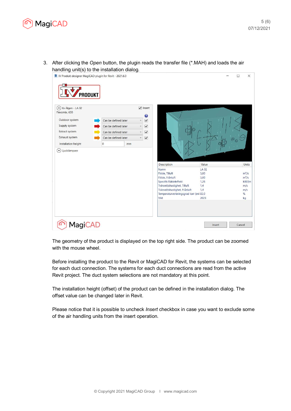

3. After clicking the *Open* button, the plugin reads the transfer file (\*.MAH) and loads the air handling unit(s) to the installation dialog.



The geometry of the product is displayed on the top right side. The product can be zoomed with the mouse wheel.

Before installing the product to the Revit or MagiCAD for Revit, the systems can be selected for each duct connection. The systems for each duct connections are read from the active Revit project. The duct system selections are not mandatory at this point.

The installation height (offset) of the product can be defined in the installation dialog. The offset value can be changed later in Revit.

Please notice that it is possible to uncheck *Insert* checkbox in case you want to exclude some of the air handling units from the insert operation.